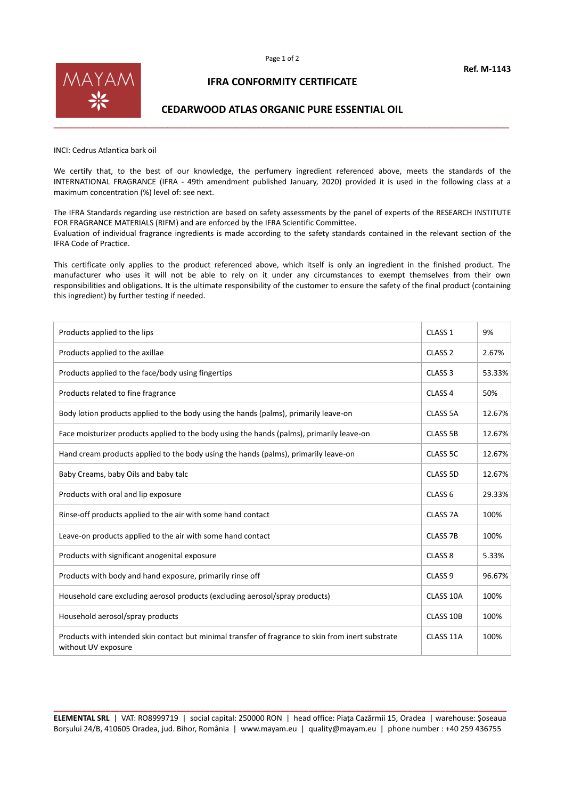

## **IFRA CONFORMITY CERTIFICATE**

## **CEDARWOOD ATLAS ORGANIC PURE ESSENTIAL OIL**

INCI: Cedrus Atlantica bark oil

We certify that, to the best of our knowledge, the perfumery ingredient referenced above, meets the standards of the INTERNATIONAL FRAGRANCE (IFRA - 49th amendment published January, 2020) provided it is used in the following class at a maximum concentration (%) level of: see next.

The IFRA Standards regarding use restriction are based on safety assessments by the panel of experts of the RESEARCH INSTITUTE FOR FRAGRANCE MATERIALS (RIFM) and are enforced by the IFRA Scientific Committee. Evaluation of individual fragrance ingredients is made according to the safety standards contained in the relevant section of the IFRA Code of Practice.

This certificate only applies to the product referenced above, which itself is only an ingredient in the finished product. The manufacturer who uses it will not be able to rely on it under any circumstances to exempt themselves from their own responsibilities and obligations. It is the ultimate responsibility of the customer to ensure the safety of the final product (containing this ingredient) by further testing if needed.

| Products applied to the lips                                                                                              | CLASS <sub>1</sub>  | 9%     |
|---------------------------------------------------------------------------------------------------------------------------|---------------------|--------|
| Products applied to the axillae                                                                                           | CLASS <sub>2</sub>  | 2.67%  |
| Products applied to the face/body using fingertips                                                                        | CLASS <sub>3</sub>  | 53.33% |
| Products related to fine fragrance                                                                                        | CLASS <sub>4</sub>  | 50%    |
| Body lotion products applied to the body using the hands (palms), primarily leave-on                                      | CLASS 5A            | 12.67% |
| Face moisturizer products applied to the body using the hands (palms), primarily leave-on                                 | <b>CLASS 5B</b>     | 12.67% |
| Hand cream products applied to the body using the hands (palms), primarily leave-on                                       | CLASS 5C            | 12.67% |
| Baby Creams, baby Oils and baby talc                                                                                      | CLASS 5D            | 12.67% |
| Products with oral and lip exposure                                                                                       | CLASS <sub>6</sub>  | 29.33% |
| Rinse-off products applied to the air with some hand contact                                                              | CLASS <sub>7A</sub> | 100%   |
| Leave-on products applied to the air with some hand contact                                                               | <b>CLASS 7B</b>     | 100%   |
| Products with significant anogenital exposure                                                                             | CLASS <sub>8</sub>  | 5.33%  |
| Products with body and hand exposure, primarily rinse off                                                                 | CLASS <sub>9</sub>  | 96.67% |
| Household care excluding aerosol products (excluding aerosol/spray products)                                              | CLASS 10A           | 100%   |
| Household aerosol/spray products                                                                                          | CLASS 10B           | 100%   |
| Products with intended skin contact but minimal transfer of fragrance to skin from inert substrate<br>without UV exposure | CLASS 11A           | 100%   |

**\_\_\_\_\_\_\_\_\_\_\_\_\_\_\_\_\_\_\_\_\_\_\_\_\_\_\_\_\_\_\_\_\_\_\_\_\_\_\_\_\_\_\_\_\_\_\_\_\_\_\_\_\_\_\_\_\_\_\_\_\_\_\_\_\_\_\_\_\_\_\_\_\_\_\_\_\_\_\_\_\_\_\_\_\_\_\_\_\_\_\_\_\_\_\_\_ ELEMENTAL SRL** | VAT: RO8999719 | social capital: 250000 RON | head office: Piața Cazărmii 15, Oradea | warehouse: Șoseaua Borșului 24/B, 410605 Oradea, jud. Bihor, România | www.mayam.eu | quality@mayam.eu | phone number : +40 259 436755